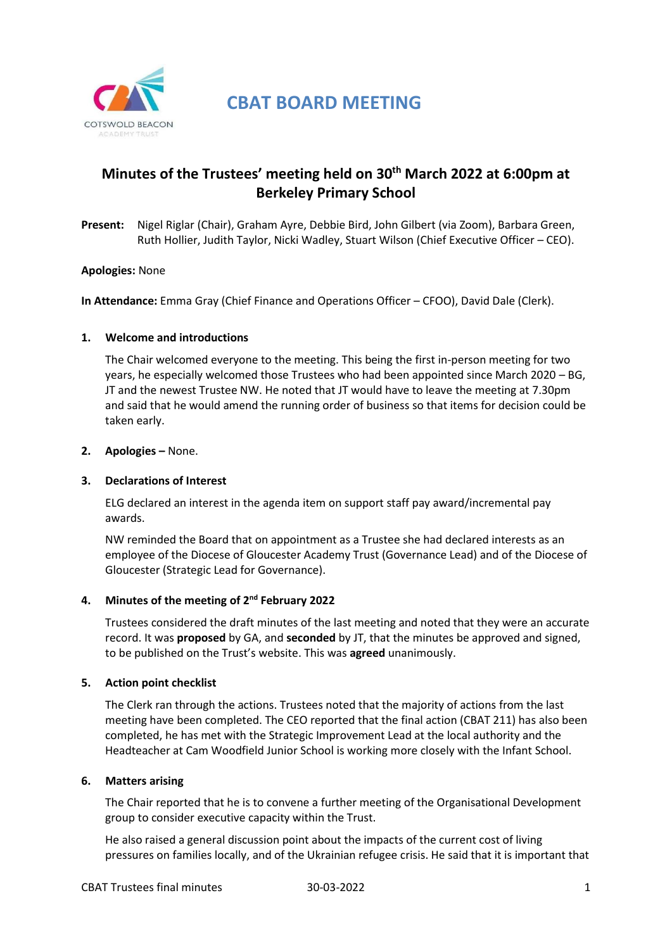

**CBAT BOARD MEETING**

# **Minutes of the Trustees' meeting held on 30th March 2022 at 6:00pm at Berkeley Primary School**

**Present:** Nigel Riglar (Chair), Graham Ayre, Debbie Bird, John Gilbert (via Zoom), Barbara Green, Ruth Hollier, Judith Taylor, Nicki Wadley, Stuart Wilson (Chief Executive Officer – CEO).

# **Apologies:** None

**In Attendance:** Emma Gray (Chief Finance and Operations Officer – CFOO), David Dale (Clerk).

#### **1. Welcome and introductions**

The Chair welcomed everyone to the meeting. This being the first in-person meeting for two years, he especially welcomed those Trustees who had been appointed since March 2020 – BG, JT and the newest Trustee NW. He noted that JT would have to leave the meeting at 7.30pm and said that he would amend the running order of business so that items for decision could be taken early.

#### **2. Apologies –** None.

#### **3. Declarations of Interest**

ELG declared an interest in the agenda item on support staff pay award/incremental pay awards.

NW reminded the Board that on appointment as a Trustee she had declared interests as an employee of the Diocese of Gloucester Academy Trust (Governance Lead) and of the Diocese of Gloucester (Strategic Lead for Governance).

# **4. Minutes of the meeting of 2 nd February 2022**

Trustees considered the draft minutes of the last meeting and noted that they were an accurate record. It was **proposed** by GA, and **seconded** by JT, that the minutes be approved and signed, to be published on the Trust's website. This was **agreed** unanimously.

# **5. Action point checklist**

The Clerk ran through the actions. Trustees noted that the majority of actions from the last meeting have been completed. The CEO reported that the final action (CBAT 211) has also been completed, he has met with the Strategic Improvement Lead at the local authority and the Headteacher at Cam Woodfield Junior School is working more closely with the Infant School.

# **6. Matters arising**

The Chair reported that he is to convene a further meeting of the Organisational Development group to consider executive capacity within the Trust.

He also raised a general discussion point about the impacts of the current cost of living pressures on families locally, and of the Ukrainian refugee crisis. He said that it is important that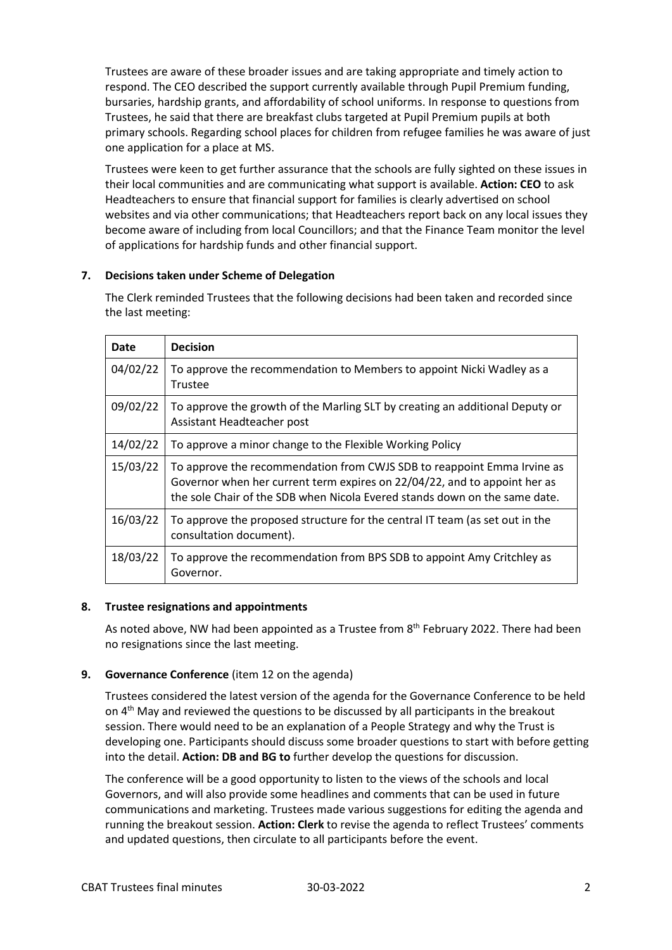Trustees are aware of these broader issues and are taking appropriate and timely action to respond. The CEO described the support currently available through Pupil Premium funding, bursaries, hardship grants, and affordability of school uniforms. In response to questions from Trustees, he said that there are breakfast clubs targeted at Pupil Premium pupils at both primary schools. Regarding school places for children from refugee families he was aware of just one application for a place at MS.

Trustees were keen to get further assurance that the schools are fully sighted on these issues in their local communities and are communicating what support is available. **Action: CEO** to ask Headteachers to ensure that financial support for families is clearly advertised on school websites and via other communications; that Headteachers report back on any local issues they become aware of including from local Councillors; and that the Finance Team monitor the level of applications for hardship funds and other financial support.

# **7. Decisions taken under Scheme of Delegation**

The Clerk reminded Trustees that the following decisions had been taken and recorded since the last meeting:

| Date     | <b>Decision</b>                                                                                                                                                                                                                    |
|----------|------------------------------------------------------------------------------------------------------------------------------------------------------------------------------------------------------------------------------------|
| 04/02/22 | To approve the recommendation to Members to appoint Nicki Wadley as a<br>Trustee                                                                                                                                                   |
| 09/02/22 | To approve the growth of the Marling SLT by creating an additional Deputy or<br>Assistant Headteacher post                                                                                                                         |
| 14/02/22 | To approve a minor change to the Flexible Working Policy                                                                                                                                                                           |
| 15/03/22 | To approve the recommendation from CWJS SDB to reappoint Emma Irvine as<br>Governor when her current term expires on 22/04/22, and to appoint her as<br>the sole Chair of the SDB when Nicola Evered stands down on the same date. |
| 16/03/22 | To approve the proposed structure for the central IT team (as set out in the<br>consultation document).                                                                                                                            |
| 18/03/22 | To approve the recommendation from BPS SDB to appoint Amy Critchley as<br>Governor.                                                                                                                                                |

# **8. Trustee resignations and appointments**

As noted above, NW had been appointed as a Trustee from 8<sup>th</sup> February 2022. There had been no resignations since the last meeting.

# **9. Governance Conference** (item 12 on the agenda)

Trustees considered the latest version of the agenda for the Governance Conference to be held on  $4<sup>th</sup>$  May and reviewed the questions to be discussed by all participants in the breakout session. There would need to be an explanation of a People Strategy and why the Trust is developing one. Participants should discuss some broader questions to start with before getting into the detail. **Action: DB and BG to** further develop the questions for discussion.

The conference will be a good opportunity to listen to the views of the schools and local Governors, and will also provide some headlines and comments that can be used in future communications and marketing. Trustees made various suggestions for editing the agenda and running the breakout session. **Action: Clerk** to revise the agenda to reflect Trustees' comments and updated questions, then circulate to all participants before the event.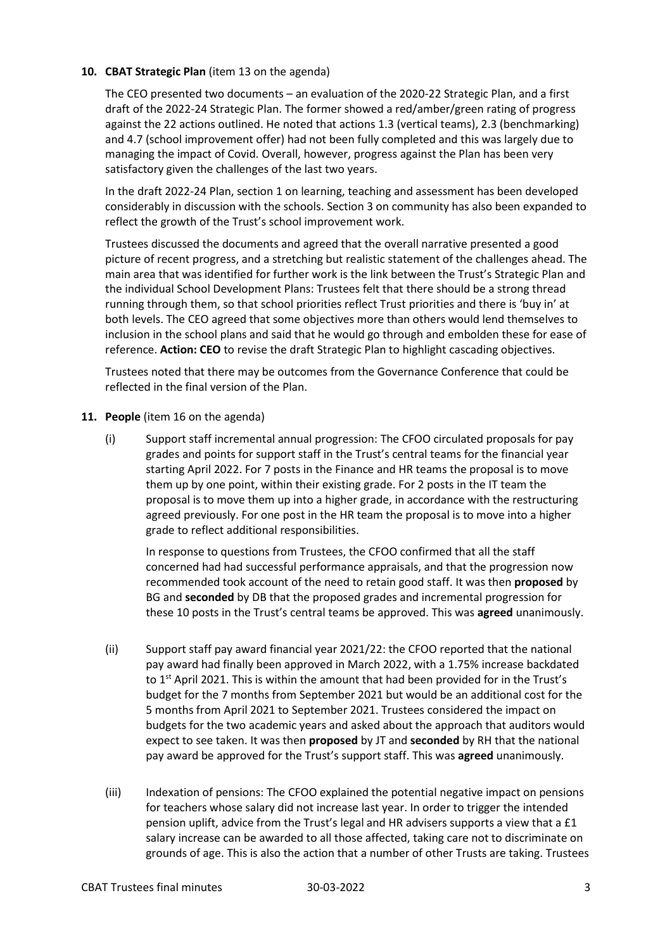# 10. **CBAT Strategic Plan** (item 13 on the agenda)

The CEO presented two documents – an evaluation of the 2020-22 Strategic Plan, and a first draft of the 2022-24 Strategic Plan. The former showed a red/amber/green rating of progress against the 22 actions outlined. He noted that actions 1.3 (vertical teams), 2.3 (benchmarking) and 4.7 (school improvement offer) had not been fully completed and this was largely due to managing the impact of Covid. Overall, however, progress against the Plan has been very satisfactory given the challenges of the last two years.

In the draft 2022-24 Plan, section 1 on learning, teaching and assessment has been developed considerably in discussion with the schools. Section 3 on community has also been expanded to reflect the growth of the Trust's school improvement work.

Trustees discussed the documents and agreed that the overall narrative presented a good picture of recent progress, and a stretching but realistic statement of the challenges ahead. The main area that was identified for further work is the link between the Trust's Strategic Plan and the individual School Development Plans: Trustees felt that there should be a strong thread running through them, so that school priorities reflect Trust priorities and there is 'buy in' at both levels. The CEO agreed that some objectives more than others would lend themselves to inclusion in the school plans and said that he would go through and embolden these for ease of reference. **Action: CEO** to revise the draft Strategic Plan to highlight cascading objectives.

Trustees noted that there may be outcomes from the Governance Conference that could be reflected in the final version of the Plan.

- **11. People** (item 16 on the agenda)
	- (i) Support staff incremental annual progression: The CFOO circulated proposals for pay grades and points for support staff in the Trust's central teams for the financial year starting April 2022. For 7 posts in the Finance and HR teams the proposal is to move them up by one point, within their existing grade. For 2 posts in the IT team the proposal is to move them up into a higher grade, in accordance with the restructuring agreed previously. For one post in the HR team the proposal is to move into a higher grade to reflect additional responsibilities.

In response to questions from Trustees, the CFOO confirmed that all the staff concerned had had successful performance appraisals, and that the progression now recommended took account of the need to retain good staff. It was then **proposed** by BG and **seconded** by DB that the proposed grades and incremental progression for these 10 posts in the Trust's central teams be approved. This was **agreed** unanimously.

- (ii) Support staff pay award financial year 2021/22: the CFOO reported that the national pay award had finally been approved in March 2022, with a 1.75% increase backdated to  $1<sup>st</sup>$  April 2021. This is within the amount that had been provided for in the Trust's budget for the 7 months from September 2021 but would be an additional cost for the 5 months from April 2021 to September 2021. Trustees considered the impact on budgets for the two academic years and asked about the approach that auditors would expect to see taken. It was then **proposed** by JT and **seconded** by RH that the national pay award be approved for the Trust's support staff. This was **agreed** unanimously.
- (iii) Indexation of pensions: The CFOO explained the potential negative impact on pensions for teachers whose salary did not increase last year. In order to trigger the intended pension uplift, advice from the Trust's legal and HR advisers supports a view that a £1 salary increase can be awarded to all those affected, taking care not to discriminate on grounds of age. This is also the action that a number of other Trusts are taking. Trustees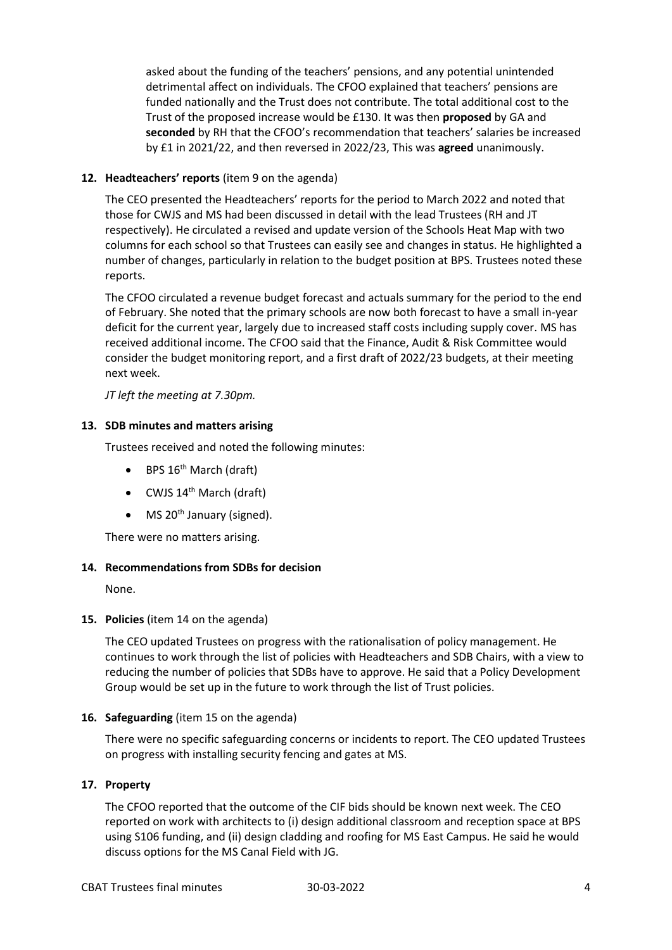asked about the funding of the teachers' pensions, and any potential unintended detrimental affect on individuals. The CFOO explained that teachers' pensions are funded nationally and the Trust does not contribute. The total additional cost to the Trust of the proposed increase would be £130. It was then **proposed** by GA and **seconded** by RH that the CFOO's recommendation that teachers' salaries be increased by £1 in 2021/22, and then reversed in 2022/23, This was **agreed** unanimously.

# **12. Headteachers' reports** (item 9 on the agenda)

The CEO presented the Headteachers' reports for the period to March 2022 and noted that those for CWJS and MS had been discussed in detail with the lead Trustees (RH and JT respectively). He circulated a revised and update version of the Schools Heat Map with two columns for each school so that Trustees can easily see and changes in status. He highlighted a number of changes, particularly in relation to the budget position at BPS. Trustees noted these reports.

The CFOO circulated a revenue budget forecast and actuals summary for the period to the end of February. She noted that the primary schools are now both forecast to have a small in-year deficit for the current year, largely due to increased staff costs including supply cover. MS has received additional income. The CFOO said that the Finance, Audit & Risk Committee would consider the budget monitoring report, and a first draft of 2022/23 budgets, at their meeting next week.

*JT left the meeting at 7.30pm.*

# **13. SDB minutes and matters arising**

Trustees received and noted the following minutes:

- $\bullet$  BPS 16<sup>th</sup> March (draft)
- $\bullet$  CWJS 14<sup>th</sup> March (draft)
- $\bullet$  MS 20<sup>th</sup> January (signed).

There were no matters arising.

# **14. Recommendations from SDBs for decision**

None.

# **15. Policies** (item 14 on the agenda)

The CEO updated Trustees on progress with the rationalisation of policy management. He continues to work through the list of policies with Headteachers and SDB Chairs, with a view to reducing the number of policies that SDBs have to approve. He said that a Policy Development Group would be set up in the future to work through the list of Trust policies.

# **16. Safeguarding** (item 15 on the agenda)

There were no specific safeguarding concerns or incidents to report. The CEO updated Trustees on progress with installing security fencing and gates at MS.

# **17. Property**

The CFOO reported that the outcome of the CIF bids should be known next week. The CEO reported on work with architects to (i) design additional classroom and reception space at BPS using S106 funding, and (ii) design cladding and roofing for MS East Campus. He said he would discuss options for the MS Canal Field with JG.